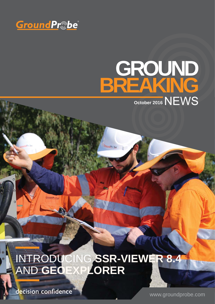

# **GROUND BREAKING October 2016** NEWS

## INTRODUCING **SSR-VIEWER 8.4** AND **GEOEXPLORER**

ndPr\_be

decision confidence

www.groundprobe.com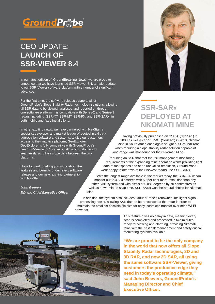

### CEO UPDATE: **LAUNCH OF SSR-VIEWER 8.4**

In our latest edition of 'GroundBreaking News', we are proud to announce that we have launched SSR-Viewer 8.4, a major update to our SSR-Viewer software platform with a number of significant advances.

For the first time, the software release supports all of GroundProbe's Slope Stability Radar technology solutions, allowing all SSR data to be viewed, analysed and reported on through one software platform. It is compatible with Series-2 and Series-3 radars, including: SSR-XT, SSR-MT, SSR-FX, and SSR-SARx, in both mobile and fixed installations.

In other exciting news, we have partnered with NavStar, a specialist developer and market leader of geotechnical data aggregation software and systems, to give our customers access to their intuitive platform, GeoExplorer. GeoExplorer is fully compatible with GroundProbe's new SSR-Viewer 8.4 software, allowing customers to seamlessly sync their slope data between the two platforms.

I look forward to telling you more about the features and benefits of our latest software release and our new, exciting partnership with NavStar.

*John Beevers MD and Chief Executive Officer* 



### **SSR-SARX DEPLOYED AT NKOMATI MINE**

Having previously purchased an SSR-X (Series-1) in 2008 as well as an SSR-XT (Series-2) in 2010, Nkomati Mine in South Africa once again sought out GroundProbe when requiring a slope stability radar solution capable of long-range wall monitoring for their Nkomati Mine.

Requiring an SSR that met the risk management monitoring requirements of the expanding mine operation whilst providing light data at fast speeds and at an unrivalled resolution, GroundProbe were happy to offer two of their newest radars, the SSR-SARx.

With the longest range available in the market today, the SSR-SARx can monitor out to 4.5 kilometres with 50 per cent more resolution than any other SAR system and with pixels of 0.083 degrees by 70 centimetres as well as a two minute scan time, SSR-SARx was the natural choice for Nkomati Mine.

In addition, the system also includes GroundProbe's renowned intelligent signal processing power, allowing SAR data to be processed at the radar in order to maintain the smallest possible file size for easy, seamless transfer over mine Wi-Fi networks.



This feature gives no delay in data, meaning every scan is completed and processed in two minutes ready for viewing and alarming, providing Nkomati Mine with the best risk management and safety critical monitoring systems available.

**"We are proud to be the only company in the world that now offers all Slope Stability Radar technologies, 2D and 3D RAR, and now 2D SAR, all using the same software SSR-Viewer, giving customers the productive edge they need in today's operating climate," said John Beevers, GroundProbe's Managing Director and Chief Executive Officer.**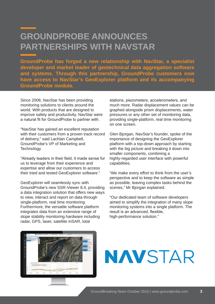### **GROUNDPROBE ANNOUNCES PARTNERSHIPS WITH NAVSTAR**

**GroundProbe has forged a new relationship with NavStar, a specialist developer and market leader of geotechnical data aggregation software and systems. Through this partnership, GroundProbe customers now have access to NavStar's GeoExplorer platform and its accompanying GroundProbe module.** 

Since 2008, NavStar has been providing monitoring solutions to clients around the world. With products that are designed to improve safety and productivity, NavStar were a natural fit for GroundProbe to partner with.

"NavStar has gained an excellent reputation with their customers from a proven track record of delivery," said Lachlan Campbell, GroundProbe's VP of Marketing and Technology.

"Already leaders in their field, it made sense for us to leverage from their experience and expertise and allow our customers to access their tried and tested GeoExplorer software."

GeoExplorer will seamlessly sync with GroundProbe's new SSR-Viewer 8.4, providing a data integration solution that offers new ways to view, interact and report on data through single-platform, real time monitoring. Furthermore, the versatile software platform integrates data from an extensive range of slope stability monitoring hardware including radar, GPS, laser, satellite InSAR, total

stations, piezometers, accelerometers, and much more. Radar displacement values can be graphed alongside prism displacements, water pressures or any other set of monitoring data, providing single-platform, real time monitoring on one screen.

Glen Bjorgan, NavStar's founder, spoke of the importance of designing the GeoExplorer platform with a top-down approach by starting with the big picture and breaking it down into smaller components, combining a highly-regarded user interface with powerful capabilities.

"We make every effort to think from the user's perspective and to keep the software as simple as possible, leaving complex tasks behind the scenes," Mr Bjorgan explained.

"Our dedicated team of software developers aimed to simplify the integration of many slope monitoring systems into a single platform. The result is an advanced, flexible, high-performance solution."



# **NAVSTAR**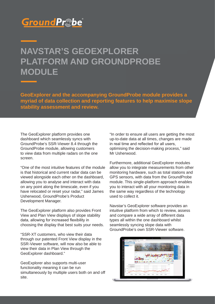### GroundPr©be

### **NAVSTAR'S GEOEXPLORER PLATFORM AND GROUNDPROBE MODULE**

**GeoExplorer and the accompanying GroundProbe module provides a myriad of data collection and reporting features to help maximise slope stability assessment and review.** 

The GeoExplorer platform provides one dashboard which seamlessly syncs with GroundProbe's SSR-Viewer 8.4 through the GroundProbe module, allowing customers to view data from multiple radars on the one screen.

"One of the most intuitive features of the module is that historical and current radar data can be viewed alongside each other on the dashboard, allowing you to analyse and interact with data on any point along the timescale, even if you have relocated or reset your radar," said James Usherwood, GroundProbe's Product Development Manager.

The GeoExplorer platform also provides Front View and Plan View displays of slope stability data, allowing for increased flexibility in choosing the display that best suits your needs.

"SSR-XT customers, who view their data through our patented Front View display in the SSR-Viewer software, will now also be able to view their data in Plan View through the GeoExplorer dashboard."

GeoExplorer also supports multi-user functionality meaning it can be run simultaneously by multiple users both on and off site.

"In order to ensure all users are getting the most up-to-date data at all times, changes are made in real time and reflected for all users. optimising the decision-making process," said Mr Usherwood.

Furthermore, additional GeoExplorer modules allow you to integrate measurements from other monitoring hardware, such as total stations and GPS sensors, with data from the GroundProbe module. This single-platform approach enables you to interact with all your monitoring data in the same way regardless of the technology used to collect it.

Navstar's GeoExplorer software provides an intuitive platform from which to review, assess and compare a wide array of different data types all within the one dashboard whilst seamlessly syncing slope data with GroundProbe's own SSR-Viewer software.

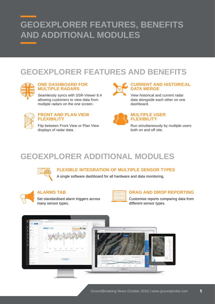### **GEOEXPLORER FEATURES, BENEFITS AND ADDITIONAL MODULES**

### **GEOEXPLORER FEATURES AND BENEFITS**



### **ONE DASHBOARD FOR MULTIPLE RADARS**

Seamlessly syncs with SSR-Viewer 8.4 allowing customers to view data from multiple radars on the one screen.



### **FRONT AND PLAN VIEW FLEXIBILITY**

Flip between Front View or Plan View displays of radar data.



### **CURRENT AND HISTORICAL DATA MERGE**

View historical and current radar data alongside each other on one dashboard.



### **MULTIPLE USER FLEXIBILITY**

Run simultaneously by multiple users both on and off site.

### **GEOEXPLORER ADDITIONAL MODULES**



**FLEXIBLE INTEGRATION OF MULTIPLE SENSOR TYPES**

A single software dashboard for all hardware and data monitoring.



### **ALARMS TAB**

Set standardised alarm triggers across many sensor types.



### **DRAG AND DROP REPORTING**

Customise reports comparing data from different sensor types.

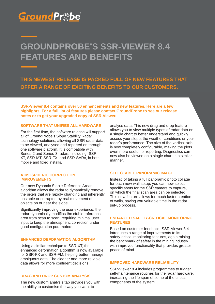### **GroundPr©be**

### **GROUNDPROBE'S SSR-VIEWER 8.4 FEATURES AND BENEFITS**

**THIS NEWEST RELEASE IS PACKED FULL OF NEW FEATURES THAT OFFER A RANGE OF EXCITING BENEFITS TO OUR CUSTOMERS.** 

highlights. For a full list of features please contact GroundProbe to see our release **notes or to get your upgraded copy of SSR-Viewer. SSR-Viewer 8.4 contains over 50 enhancements and new features. Here are a few** 

#### **SOFTWARE THAT UNIFIES ALL HARDWARE**

For the first time, the software release will support all of GroundProbe's Slope Stability Radar technology solutions, allowing all SSR radar data to be viewed, analysed and reported on through one software platform. It is compatible with Series-2 and Series-3 radars, including: SSR-XT, SSR-MT, SSR-FX, and SSR-SARx, in both mobile and fixed installs

#### **ATMOSPHERIC CORRECTION IMPROVEMENTS**

Our new Dynamic Stable Reference Areas algorithm allows the radar to dynamically remove the pixels that are rapidly changing and inherently unstable or corrupted by real movement of objects on or near the slope.

Significantly improving the user experience, the radar dynamically modifies the stable reference area from scan to scan, requiring minimal user input to keep the atmospheric correction under good configuration parameters.

#### **ENHANCED DEFORMATION ALGORITHM**

Using a similar technique to SSR-XT, the enhanced deformation algorithm is now available for SSR-FX and SSR-FM, helping better manage ambiguous data. The cleaner and more reliable data allows for more confident decisions.

#### **DRAG AND DROP CUSTOM ANALYSIS**

The new custom analysis tab provides you with the ability to customise the way you want to

analyse data. This new drag and drop feature allows you to view multiple types of radar data on a single chart to better understand and quickly assess your slope, the weather conditions or your radar's performance. The size of the vertical axis is now completely configurable, making the plots even more useful for reporting. Diagnostics can now also be viewed on a single chart in a similar manner.

### **SELECTABLE PANORAMIC IMAGE**

Instead of taking a full panoramic photo collage for each new wall setup, you can now select specific shots for the SSR camera to capture. on which the final scan area can be selected. This new feature allows for much faster creation of walls, saving you valuable time in the radar set-up process.

#### **ENHANCED SAFETY-CRITICAL MONITORING FEATURES**

Based on customer feedback, SSR-Viewer 8.4 introduces a range of improvements to its safety-critical monitoring features, again raising the benchmark of safety in the mining industry with improved functionality that provides greater peace of mind.

#### **IMPROVED HARDWARE RELIABILITY**

SSR-Viewer 8.4 includes programmes to trigger self-maintenance routines for the radar hardware, increasing the life span of some of the critical components of the system.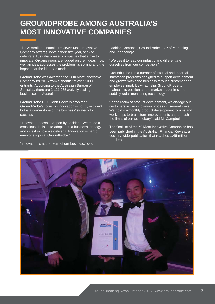### **GROUNDPROBE AMONG AUSTRALIA'S MOST INNOVATIVE COMPANIES**

The Australian Financial Review's Most Innovative Company Awards, now in their fifth year, seek to celebrate Australian-based companies that strive to innovate. Organisations are judged on their ideas, how well an idea addresses the problem it's solving and the impact that the idea has made.

GroundProbe was awarded the 36th Most Innovative Company for 2016 from a shortlist of over 1000 entrants. According to the Australian Bureau of Statistics, there are 2,121,235 actively trading businesses in Australia.

GroundProbe CEO John Beevers says that GroundProbe's focus on innovation is not by accident but is a cornerstone of the business' strategy for success.

"Innovation doesn't happen by accident. We made a conscious decision to adopt it as a business strategy and invest in how we deliver it. Innovation is part of everyone's job at GroundProbe."

"Innovation is at the heart of our business," said

Lachlan Campbell, GroundProbe's VP of Marketing and Technology.

"We use it to lead our industry and differentiate ourselves from our competition."

GroundProbe run a number of internal and external innovation programs designed to support development and growth within the business through customer and employee input. It's what helps GroundProbe to maintain its position as the market leader in slope stability radar monitoring technology.

"In the realm of product development, we engage our customers in our innovation process in several ways. We hold six-monthly product development forums and workshops to brainstorm improvements and to push the limits of our technology," said Mr Campbell.

The final list of the 50 Most Innovative Companies has been published in the Australian Financial Review, a country-wide publication that reaches 1.46 million readers.